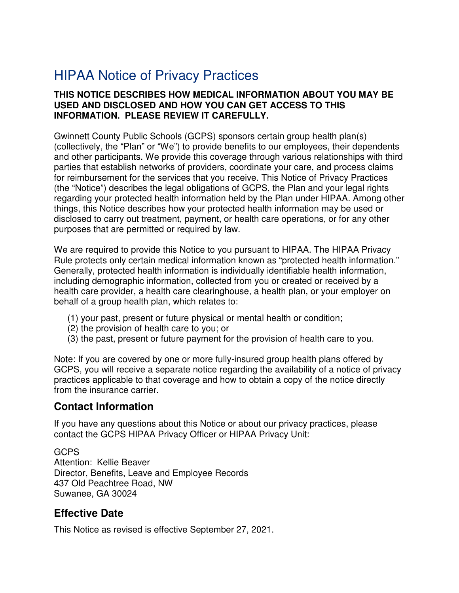# HIPAA Notice of Privacy Practices

#### **THIS NOTICE DESCRIBES HOW MEDICAL INFORMATION ABOUT YOU MAY BE USED AND DISCLOSED AND HOW YOU CAN GET ACCESS TO THIS INFORMATION. PLEASE REVIEW IT CAREFULLY.**

 Gwinnett County Public Schools (GCPS) sponsors certain group health plan(s) (collectively, the "Plan" or "We") to provide benefits to our employees, their dependents and other participants. We provide this coverage through various relationships with third parties that establish networks of providers, coordinate your care, and process claims for reimbursement for the services that you receive. This Notice of Privacy Practices (the "Notice") describes the legal obligations of GCPS, the Plan and your legal rights regarding your protected health information held by the Plan under HIPAA. Among other things, this Notice describes how your protected health information may be used or disclosed to carry out treatment, payment, or health care operations, or for any other purposes that are permitted or required by law.

 We are required to provide this Notice to you pursuant to HIPAA. The HIPAA Privacy Rule protects only certain medical information known as "protected health information." Generally, protected health information is individually identifiable health information, including demographic information, collected from you or created or received by a health care provider, a health care clearinghouse, a health plan, or your employer on behalf of a group health plan, which relates to:

- (1) your past, present or future physical or mental health or condition;
- 2) the provision of health care to you; or (
- 3) the past, present or future payment for the provision of health care to you. (

 Note: If you are covered by one or more fully-insured group health plans offered by GCPS, you will receive a separate notice regarding the availability of a notice of privacy practices applicable to that coverage and how to obtain a copy of the notice directly from the insurance carrier.

### **Contact Information**

 If you have any questions about this Notice or about our privacy practices, please contact the GCPS HIPAA Privacy Officer or HIPAA Privacy Unit:

GCPS Attention: Kellie Beaver Director, Benefits, Leave and Employee Records 437 Old Peachtree Road, NW Suwanee, GA 30024

# **Effective Date**

This Notice as revised is effective September 27, 2021.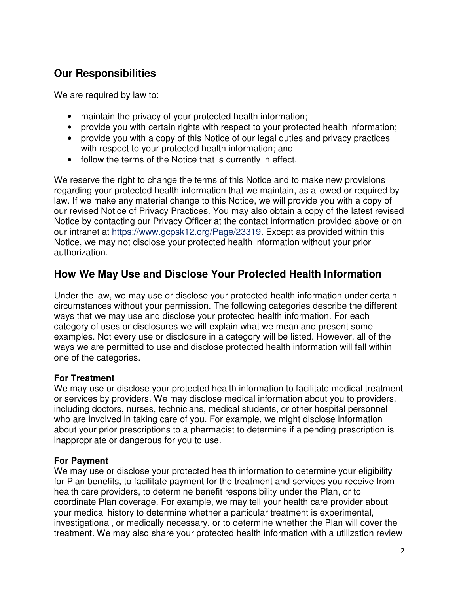# **Our Responsibilities**

We are required by law to:

- maintain the privacy of your protected health information;
- provide you with certain rights with respect to your protected health information;
- provide you with a copy of this Notice of our legal duties and privacy practices with respect to your protected health information; and
- follow the terms of the Notice that is currently in effect.

 We reserve the right to change the terms of this Notice and to make new provisions regarding your protected health information that we maintain, as allowed or required by law. If we make any material change to this Notice, we will provide you with a copy of our revised Notice of Privacy Practices. You may also obtain a copy of the latest revised Notice by contacting our Privacy Officer at the contact information provided above or on our intranet at<https://www.gcpsk12.org/Page/23319>. Except as provided within this Notice, we may not disclose your protected health information without your prior authorization.

### **How We May Use and Disclose Your Protected Health Information**

 Under the law, we may use or disclose your protected health information under certain circumstances without your permission. The following categories describe the different ways that we may use and disclose your protected health information. For each category of uses or disclosures we will explain what we mean and present some examples. Not every use or disclosure in a category will be listed. However, all of the ways we are permitted to use and disclose protected health information will fall within one of the categories.

#### **For Treatment**

 We may use or disclose your protected health information to facilitate medical treatment or services by providers. We may disclose medical information about you to providers, including doctors, nurses, technicians, medical students, or other hospital personnel who are involved in taking care of you. For example, we might disclose information about your prior prescriptions to a pharmacist to determine if a pending prescription is inappropriate or dangerous for you to use.

#### **For Payment**

We may use or disclose your protected health information to determine your eligibility for Plan benefits, to facilitate payment for the treatment and services you receive from health care providers, to determine benefit responsibility under the Plan, or to coordinate Plan coverage. For example, we may tell your health care provider about your medical history to determine whether a particular treatment is experimental, investigational, or medically necessary, or to determine whether the Plan will cover the treatment. We may also share your protected health information with a utilization review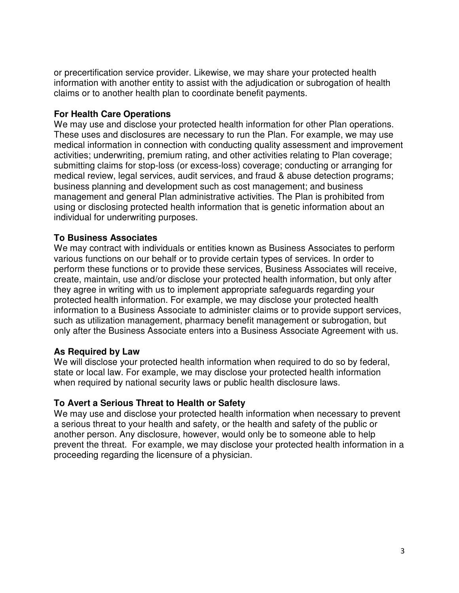or precertification service provider. Likewise, we may share your protected health information with another entity to assist with the adjudication or subrogation of health claims or to another health plan to coordinate benefit payments.

#### **For Health Care Operations**

 We may use and disclose your protected health information for other Plan operations. These uses and disclosures are necessary to run the Plan. For example, we may use medical information in connection with conducting quality assessment and improvement activities; underwriting, premium rating, and other activities relating to Plan coverage; submitting claims for stop-loss (or excess-loss) coverage; conducting or arranging for medical review, legal services, audit services, and fraud & abuse detection programs; business planning and development such as cost management; and business management and general Plan administrative activities. The Plan is prohibited from using or disclosing protected health information that is genetic information about an individual for underwriting purposes.

#### **To Business Associates**

 We may contract with individuals or entities known as Business Associates to perform various functions on our behalf or to provide certain types of services. In order to perform these functions or to provide these services, Business Associates will receive, create, maintain, use and/or disclose your protected health information, but only after they agree in writing with us to implement appropriate safeguards regarding your protected health information. For example, we may disclose your protected health information to a Business Associate to administer claims or to provide support services, such as utilization management, pharmacy benefit management or subrogation, but only after the Business Associate enters into a Business Associate Agreement with us.

#### **As Required by Law**

 We will disclose your protected health information when required to do so by federal, state or local law. For example, we may disclose your protected health information when required by national security laws or public health disclosure laws.

#### **To Avert a Serious Threat to Health or Safety**

 We may use and disclose your protected health information when necessary to prevent a serious threat to your health and safety, or the health and safety of the public or another person. Any disclosure, however, would only be to someone able to help prevent the threat. For example, we may disclose your protected health information in a proceeding regarding the licensure of a physician.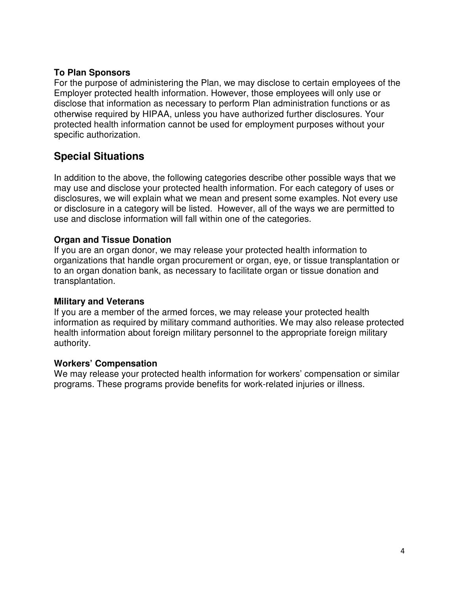#### **To Plan Sponsors**

 For the purpose of administering the Plan, we may disclose to certain employees of the Employer protected health information. However, those employees will only use or disclose that information as necessary to perform Plan administration functions or as otherwise required by HIPAA, unless you have authorized further disclosures. Your protected health information cannot be used for employment purposes without your specific authorization.

# **Special Situations**

 In addition to the above, the following categories describe other possible ways that we may use and disclose your protected health information. For each category of uses or disclosures, we will explain what we mean and present some examples. Not every use or disclosure in a category will be listed. However, all of the ways we are permitted to use and disclose information will fall within one of the categories.

#### **Organ and Tissue Donation**

 If you are an organ donor, we may release your protected health information to organizations that handle organ procurement or organ, eye, or tissue transplantation or to an organ donation bank, as necessary to facilitate organ or tissue donation and transplantation.

#### **Military and Veterans**

 If you are a member of the armed forces, we may release your protected health information as required by military command authorities. We may also release protected health information about foreign military personnel to the appropriate foreign military authority.

#### **Workers' Compensation**

 We may release your protected health information for workers' compensation or similar programs. These programs provide benefits for work-related injuries or illness.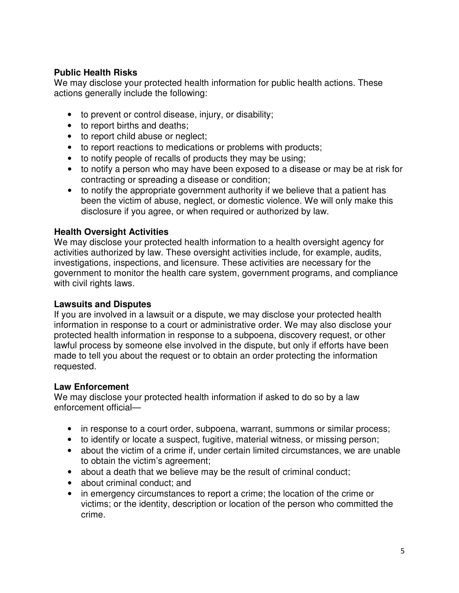#### **Public Health Risks**

 We may disclose your protected health information for public health actions. These actions generally include the following:

- to prevent or control disease, injury, or disability;
- to report births and deaths;
- to report child abuse or neglect;
- to report reactions to medications or problems with products;
- to notify people of recalls of products they may be using;
- to notify a person who may have been exposed to a disease or may be at risk for contracting or spreading a disease or condition;
- to notify the appropriate government authority if we believe that a patient has been the victim of abuse, neglect, or domestic violence. We will only make this disclosure if you agree, or when required or authorized by law.

#### **Health Oversight Activities**

 We may disclose your protected health information to a health oversight agency for activities authorized by law. These oversight activities include, for example, audits, investigations, inspections, and licensure. These activities are necessary for the government to monitor the health care system, government programs, and compliance with civil rights laws.

#### **Lawsuits and Disputes**

 If you are involved in a lawsuit or a dispute, we may disclose your protected health information in response to a court or administrative order. We may also disclose your protected health information in response to a subpoena, discovery request, or other lawful process by someone else involved in the dispute, but only if efforts have been made to tell you about the request or to obtain an order protecting the information requested.

#### **Law Enforcement**

 We may disclose your protected health information if asked to do so by a law enforcement official—

- in response to a court order, subpoena, warrant, summons or similar process;
- to identify or locate a suspect, fugitive, material witness, or missing person;
- about the victim of a crime if, under certain limited circumstances, we are unable to obtain the victim's agreement;
- about a death that we believe may be the result of criminal conduct;
- about criminal conduct: and
- in emergency circumstances to report a crime; the location of the crime or victims; or the identity, description or location of the person who committed the crime.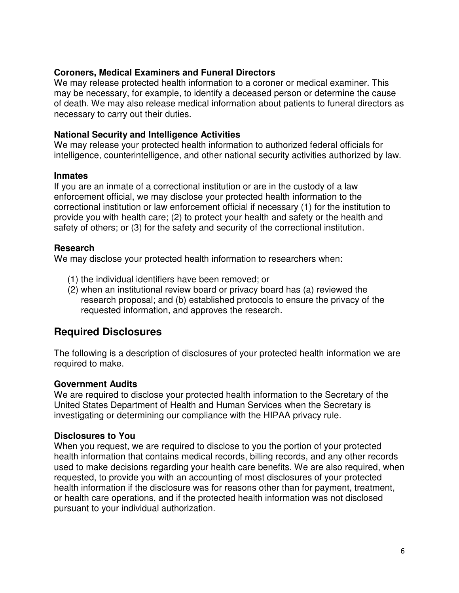#### **Coroners, Medical Examiners and Funeral Directors**

 We may release protected health information to a coroner or medical examiner. This may be necessary, for example, to identify a deceased person or determine the cause of death. We may also release medical information about patients to funeral directors as necessary to carry out their duties.

#### **National Security and Intelligence Activities**

 We may release your protected health information to authorized federal officials for intelligence, counterintelligence, and other national security activities authorized by law.

#### **Inmates**

 If you are an inmate of a correctional institution or are in the custody of a law enforcement official, we may disclose your protected health information to the correctional institution or law enforcement official if necessary (1) for the institution to provide you with health care; (2) to protect your health and safety or the health and safety of others; or (3) for the safety and security of the correctional institution.

#### **Research**

We may disclose your protected health information to researchers when:

- (1) the individual identifiers have been removed; or
- (2) when an institutional review board or privacy board has (a) reviewed the research proposal; and (b) established protocols to ensure the privacy of the requested information, and approves the research.

### **Required Disclosures**

 The following is a description of disclosures of your protected health information we are required to make.

#### **Government Audits**

 We are required to disclose your protected health information to the Secretary of the United States Department of Health and Human Services when the Secretary is investigating or determining our compliance with the HIPAA privacy rule.

#### **Disclosures to You**

 When you request, we are required to disclose to you the portion of your protected health information that contains medical records, billing records, and any other records used to make decisions regarding your health care benefits. We are also required, when requested, to provide you with an accounting of most disclosures of your protected health information if the disclosure was for reasons other than for payment, treatment, or health care operations, and if the protected health information was not disclosed pursuant to your individual authorization.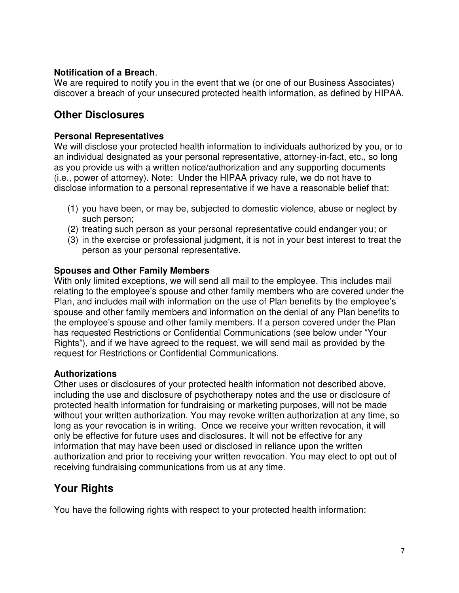#### **Notification of a Breach**.

 We are required to notify you in the event that we (or one of our Business Associates) discover a breach of your unsecured protected health information, as defined by HIPAA.

### **Other Disclosures**

#### **Personal Representatives**

 We will disclose your protected health information to individuals authorized by you, or to an individual designated as your personal representative, attorney-in-fact, etc., so long as you provide us with a written notice/authorization and any supporting documents (i.e., power of attorney). Note: Under the HIPAA privacy rule, we do not have to disclose information to a personal representative if we have a reasonable belief that:

- (1) you have been, or may be, subjected to domestic violence, abuse or neglect by such person;
- (2) treating such person as your personal representative could endanger you; or
- (3) in the exercise or professional judgment, it is not in your best interest to treat the person as your personal representative.

#### **Spouses and Other Family Members**

 With only limited exceptions, we will send all mail to the employee. This includes mail relating to the employee's spouse and other family members who are covered under the Plan, and includes mail with information on the use of Plan benefits by the employee's spouse and other family members and information on the denial of any Plan benefits to the employee's spouse and other family members. If a person covered under the Plan has requested Restrictions or Confidential Communications (see below under "Your Rights"), and if we have agreed to the request, we will send mail as provided by the request for Restrictions or Confidential Communications.

#### **Authorizations**

 Other uses or disclosures of your protected health information not described above, including the use and disclosure of psychotherapy notes and the use or disclosure of protected health information for fundraising or marketing purposes, will not be made without your written authorization. You may revoke written authorization at any time, so long as your revocation is in writing. Once we receive your written revocation, it will only be effective for future uses and disclosures. It will not be effective for any information that may have been used or disclosed in reliance upon the written authorization and prior to receiving your written revocation. You may elect to opt out of receiving fundraising communications from us at any time.

# **Your Rights**

You have the following rights with respect to your protected health information: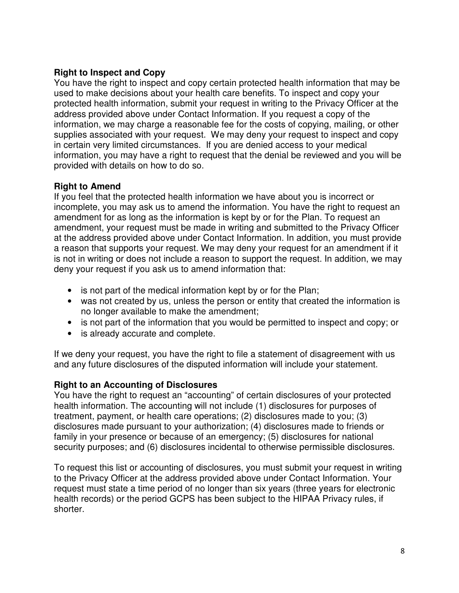### **Right to Inspect and Copy**

 You have the right to inspect and copy certain protected health information that may be used to make decisions about your health care benefits. To inspect and copy your protected health information, submit your request in writing to the Privacy Officer at the address provided above under Contact Information. If you request a copy of the information, we may charge a reasonable fee for the costs of copying, mailing, or other supplies associated with your request. We may deny your request to inspect and copy in certain very limited circumstances. If you are denied access to your medical information, you may have a right to request that the denial be reviewed and you will be provided with details on how to do so.

#### **Right to Amend**

 If you feel that the protected health information we have about you is incorrect or incomplete, you may ask us to amend the information. You have the right to request an amendment for as long as the information is kept by or for the Plan. To request an amendment, your request must be made in writing and submitted to the Privacy Officer at the address provided above under Contact Information. In addition, you must provide a reason that supports your request. We may deny your request for an amendment if it is not in writing or does not include a reason to support the request. In addition, we may deny your request if you ask us to amend information that:

- is not part of the medical information kept by or for the Plan;
- was not created by us, unless the person or entity that created the information is no longer available to make the amendment;
- is not part of the information that you would be permitted to inspect and copy; or
- is already accurate and complete.

 If we deny your request, you have the right to file a statement of disagreement with us and any future disclosures of the disputed information will include your statement.

#### **Right to an Accounting of Disclosures**

 You have the right to request an "accounting" of certain disclosures of your protected health information. The accounting will not include (1) disclosures for purposes of treatment, payment, or health care operations; (2) disclosures made to you; (3) disclosures made pursuant to your authorization; (4) disclosures made to friends or family in your presence or because of an emergency; (5) disclosures for national security purposes; and (6) disclosures incidental to otherwise permissible disclosures.

 To request this list or accounting of disclosures, you must submit your request in writing to the Privacy Officer at the address provided above under Contact Information. Your request must state a time period of no longer than six years (three years for electronic health records) or the period GCPS has been subject to the HIPAA Privacy rules, if shorter.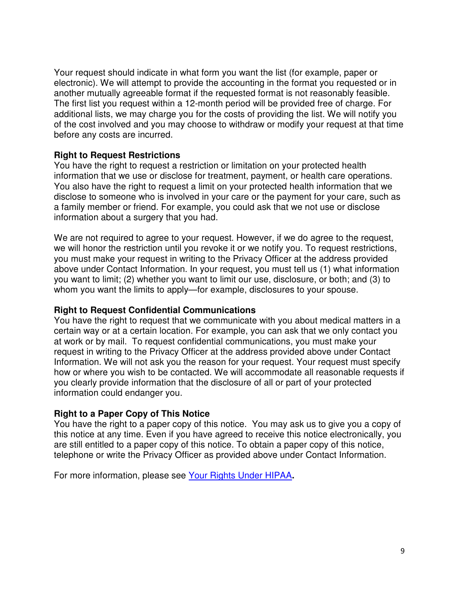Your request should indicate in what form you want the list (for example, paper or electronic). We will attempt to provide the accounting in the format you requested or in another mutually agreeable format if the requested format is not reasonably feasible. The first list you request within a 12-month period will be provided free of charge. For additional lists, we may charge you for the costs of providing the list. We will notify you of the cost involved and you may choose to withdraw or modify your request at that time before any costs are incurred.

#### **Right to Request Restrictions**

 You have the right to request a restriction or limitation on your protected health information that we use or disclose for treatment, payment, or health care operations. You also have the right to request a limit on your protected health information that we disclose to someone who is involved in your care or the payment for your care, such as a family member or friend. For example, you could ask that we not use or disclose information about a surgery that you had.

 We are not required to agree to your request. However, if we do agree to the request, we will honor the restriction until you revoke it or we notify you. To request restrictions, you must make your request in writing to the Privacy Officer at the address provided above under Contact Information. In your request, you must tell us (1) what information you want to limit; (2) whether you want to limit our use, disclosure, or both; and (3) to whom you want the limits to apply—for example, disclosures to your spouse.

#### **Right to Request Confidential Communications**

 You have the right to request that we communicate with you about medical matters in a certain way or at a certain location. For example, you can ask that we only contact you at work or by mail. To request confidential communications, you must make your request in writing to the Privacy Officer at the address provided above under Contact Information. We will not ask you the reason for your request. Your request must specify how or where you wish to be contacted. We will accommodate all reasonable requests if you clearly provide information that the disclosure of all or part of your protected information could endanger you.

#### **Right to a Paper Copy of This Notice**

 You have the right to a paper copy of this notice. You may ask us to give you a copy of this notice at any time. Even if you have agreed to receive this notice electronically, you are still entitled to a paper copy of this notice. To obtain a paper copy of this notice, telephone or write the Privacy Officer as provided above under Contact Information.

For more information, please see Your Rights Under HIPAA**.**